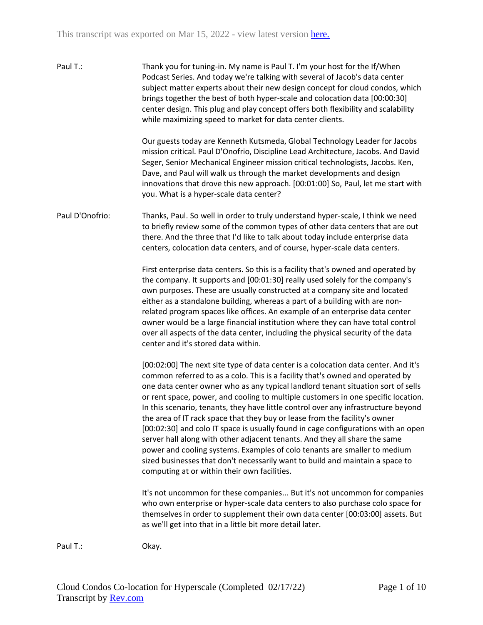Paul T.: Thank you for tuning-in. My name is Paul T. I'm your host for the If/When Podcast Series. And today we're talking with several of Jacob's data center subject matter experts about their new design concept for cloud condos, which brings together the best of both hyper-scale and colocation data [00:00:30] center design. This plug and play concept offers both flexibility and scalability while maximizing speed to market for data center clients.

> Our guests today are Kenneth Kutsmeda, Global Technology Leader for Jacobs mission critical. Paul D'Onofrio, Discipline Lead Architecture, Jacobs. And David Seger, Senior Mechanical Engineer mission critical technologists, Jacobs. Ken, Dave, and Paul will walk us through the market developments and design innovations that drove this new approach. [00:01:00] So, Paul, let me start with you. What is a hyper-scale data center?

Paul D'Onofrio: Thanks, Paul. So well in order to truly understand hyper-scale, I think we need to briefly review some of the common types of other data centers that are out there. And the three that I'd like to talk about today include enterprise data centers, colocation data centers, and of course, hyper-scale data centers.

> First enterprise data centers. So this is a facility that's owned and operated by the company. It supports and [00:01:30] really used solely for the company's own purposes. These are usually constructed at a company site and located either as a standalone building, whereas a part of a building with are nonrelated program spaces like offices. An example of an enterprise data center owner would be a large financial institution where they can have total control over all aspects of the data center, including the physical security of the data center and it's stored data within.

[00:02:00] The next site type of data center is a colocation data center. And it's common referred to as a colo. This is a facility that's owned and operated by one data center owner who as any typical landlord tenant situation sort of sells or rent space, power, and cooling to multiple customers in one specific location. In this scenario, tenants, they have little control over any infrastructure beyond the area of IT rack space that they buy or lease from the facility's owner [00:02:30] and colo IT space is usually found in cage configurations with an open server hall along with other adjacent tenants. And they all share the same power and cooling systems. Examples of colo tenants are smaller to medium sized businesses that don't necessarily want to build and maintain a space to computing at or within their own facilities.

It's not uncommon for these companies... But it's not uncommon for companies who own enterprise or hyper-scale data centers to also purchase colo space for themselves in order to supplement their own data center [00:03:00] assets. But as we'll get into that in a little bit more detail later.

Paul T.: Ckay.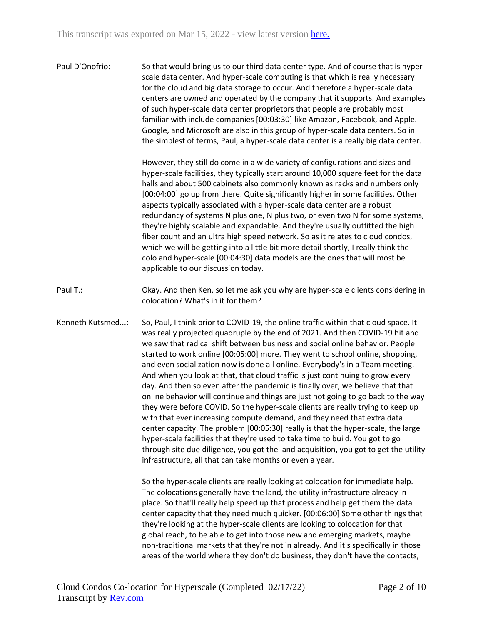Paul D'Onofrio: So that would bring us to our third data center type. And of course that is hyperscale data center. And hyper-scale computing is that which is really necessary for the cloud and big data storage to occur. And therefore a hyper-scale data centers are owned and operated by the company that it supports. And examples of such hyper-scale data center proprietors that people are probably most familiar with include companies [00:03:30] like Amazon, Facebook, and Apple. Google, and Microsoft are also in this group of hyper-scale data centers. So in the simplest of terms, Paul, a hyper-scale data center is a really big data center.

> However, they still do come in a wide variety of configurations and sizes and hyper-scale facilities, they typically start around 10,000 square feet for the data halls and about 500 cabinets also commonly known as racks and numbers only [00:04:00] go up from there. Quite significantly higher in some facilities. Other aspects typically associated with a hyper-scale data center are a robust redundancy of systems N plus one, N plus two, or even two N for some systems, they're highly scalable and expandable. And they're usually outfitted the high fiber count and an ultra high speed network. So as it relates to cloud condos, which we will be getting into a little bit more detail shortly, I really think the colo and hyper-scale [00:04:30] data models are the ones that will most be applicable to our discussion today.

- Paul T.: Okay. And then Ken, so let me ask you why are hyper-scale clients considering in colocation? What's in it for them?
- Kenneth Kutsmed...: So, Paul, I think prior to COVID-19, the online traffic within that cloud space. It was really projected quadruple by the end of 2021. And then COVID-19 hit and we saw that radical shift between business and social online behavior. People started to work online [00:05:00] more. They went to school online, shopping, and even socialization now is done all online. Everybody's in a Team meeting. And when you look at that, that cloud traffic is just continuing to grow every day. And then so even after the pandemic is finally over, we believe that that online behavior will continue and things are just not going to go back to the way they were before COVID. So the hyper-scale clients are really trying to keep up with that ever increasing compute demand, and they need that extra data center capacity. The problem [00:05:30] really is that the hyper-scale, the large hyper-scale facilities that they're used to take time to build. You got to go through site due diligence, you got the land acquisition, you got to get the utility infrastructure, all that can take months or even a year.

So the hyper-scale clients are really looking at colocation for immediate help. The colocations generally have the land, the utility infrastructure already in place. So that'll really help speed up that process and help get them the data center capacity that they need much quicker. [00:06:00] Some other things that they're looking at the hyper-scale clients are looking to colocation for that global reach, to be able to get into those new and emerging markets, maybe non-traditional markets that they're not in already. And it's specifically in those areas of the world where they don't do business, they don't have the contacts,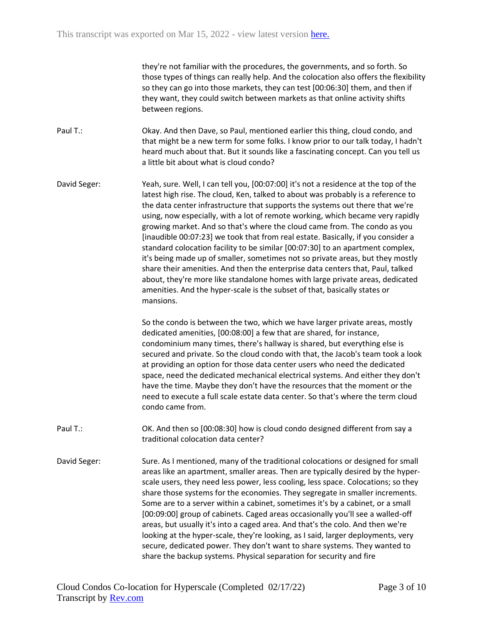they're not familiar with the procedures, the governments, and so forth. So those types of things can really help. And the colocation also offers the flexibility so they can go into those markets, they can test [00:06:30] them, and then if they want, they could switch between markets as that online activity shifts between regions.

Paul T.: Okay. And then Dave, so Paul, mentioned earlier this thing, cloud condo, and that might be a new term for some folks. I know prior to our talk today, I hadn't heard much about that. But it sounds like a fascinating concept. Can you tell us a little bit about what is cloud condo?

David Seger: Yeah, sure. Well, I can tell you, [00:07:00] it's not a residence at the top of the latest high rise. The cloud, Ken, talked to about was probably is a reference to the data center infrastructure that supports the systems out there that we're using, now especially, with a lot of remote working, which became very rapidly growing market. And so that's where the cloud came from. The condo as you [inaudible 00:07:23] we took that from real estate. Basically, if you consider a standard colocation facility to be similar [00:07:30] to an apartment complex, it's being made up of smaller, sometimes not so private areas, but they mostly share their amenities. And then the enterprise data centers that, Paul, talked about, they're more like standalone homes with large private areas, dedicated amenities. And the hyper-scale is the subset of that, basically states or mansions.

> So the condo is between the two, which we have larger private areas, mostly dedicated amenities, [00:08:00] a few that are shared, for instance, condominium many times, there's hallway is shared, but everything else is secured and private. So the cloud condo with that, the Jacob's team took a look at providing an option for those data center users who need the dedicated space, need the dedicated mechanical electrical systems. And either they don't have the time. Maybe they don't have the resources that the moment or the need to execute a full scale estate data center. So that's where the term cloud condo came from.

Paul T.: CK. And then so [00:08:30] how is cloud condo designed different from say a traditional colocation data center?

David Seger: Sure. As I mentioned, many of the traditional colocations or designed for small areas like an apartment, smaller areas. Then are typically desired by the hyperscale users, they need less power, less cooling, less space. Colocations; so they share those systems for the economies. They segregate in smaller increments. Some are to a server within a cabinet, sometimes it's by a cabinet, or a small [00:09:00] group of cabinets. Caged areas occasionally you'll see a walled-off areas, but usually it's into a caged area. And that's the colo. And then we're looking at the hyper-scale, they're looking, as I said, larger deployments, very secure, dedicated power. They don't want to share systems. They wanted to share the backup systems. Physical separation for security and fire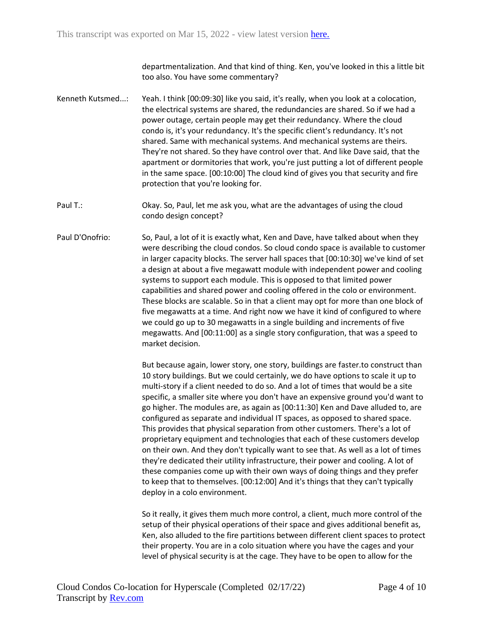departmentalization. And that kind of thing. Ken, you've looked in this a little bit too also. You have some commentary?

- Kenneth Kutsmed...: Yeah. I think [00:09:30] like you said, it's really, when you look at a colocation, the electrical systems are shared, the redundancies are shared. So if we had a power outage, certain people may get their redundancy. Where the cloud condo is, it's your redundancy. It's the specific client's redundancy. It's not shared. Same with mechanical systems. And mechanical systems are theirs. They're not shared. So they have control over that. And like Dave said, that the apartment or dormitories that work, you're just putting a lot of different people in the same space. [00:10:00] The cloud kind of gives you that security and fire protection that you're looking for.
- Paul T.: Okay. So, Paul, let me ask you, what are the advantages of using the cloud condo design concept?
- Paul D'Onofrio: So, Paul, a lot of it is exactly what, Ken and Dave, have talked about when they were describing the cloud condos. So cloud condo space is available to customer in larger capacity blocks. The server hall spaces that [00:10:30] we've kind of set a design at about a five megawatt module with independent power and cooling systems to support each module. This is opposed to that limited power capabilities and shared power and cooling offered in the colo or environment. These blocks are scalable. So in that a client may opt for more than one block of five megawatts at a time. And right now we have it kind of configured to where we could go up to 30 megawatts in a single building and increments of five megawatts. And [00:11:00] as a single story configuration, that was a speed to market decision.

But because again, lower story, one story, buildings are faster.to construct than 10 story buildings. But we could certainly, we do have options to scale it up to multi-story if a client needed to do so. And a lot of times that would be a site specific, a smaller site where you don't have an expensive ground you'd want to go higher. The modules are, as again as [00:11:30] Ken and Dave alluded to, are configured as separate and individual IT spaces, as opposed to shared space. This provides that physical separation from other customers. There's a lot of proprietary equipment and technologies that each of these customers develop on their own. And they don't typically want to see that. As well as a lot of times they're dedicated their utility infrastructure, their power and cooling. A lot of these companies come up with their own ways of doing things and they prefer to keep that to themselves. [00:12:00] And it's things that they can't typically deploy in a colo environment.

So it really, it gives them much more control, a client, much more control of the setup of their physical operations of their space and gives additional benefit as, Ken, also alluded to the fire partitions between different client spaces to protect their property. You are in a colo situation where you have the cages and your level of physical security is at the cage. They have to be open to allow for the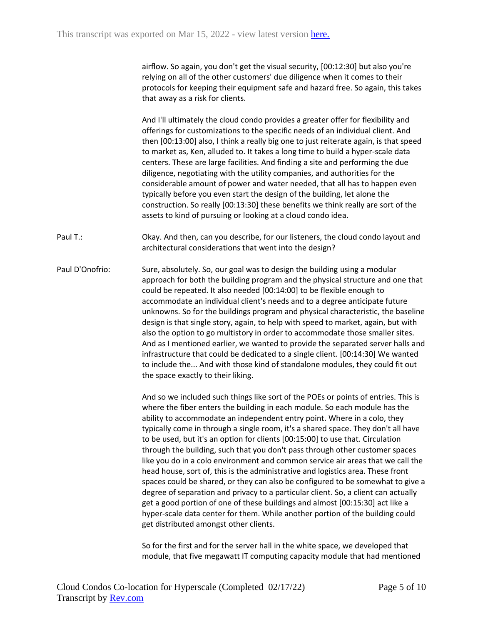airflow. So again, you don't get the visual security, [00:12:30] but also you're relying on all of the other customers' due diligence when it comes to their protocols for keeping their equipment safe and hazard free. So again, this takes that away as a risk for clients.

And I'll ultimately the cloud condo provides a greater offer for flexibility and offerings for customizations to the specific needs of an individual client. And then [00:13:00] also, I think a really big one to just reiterate again, is that speed to market as, Ken, alluded to. It takes a long time to build a hyper-scale data centers. These are large facilities. And finding a site and performing the due diligence, negotiating with the utility companies, and authorities for the considerable amount of power and water needed, that all has to happen even typically before you even start the design of the building, let alone the construction. So really [00:13:30] these benefits we think really are sort of the assets to kind of pursuing or looking at a cloud condo idea.

Paul T.: Okay. And then, can you describe, for our listeners, the cloud condo layout and architectural considerations that went into the design?

Paul D'Onofrio: Sure, absolutely. So, our goal was to design the building using a modular approach for both the building program and the physical structure and one that could be repeated. It also needed [00:14:00] to be flexible enough to accommodate an individual client's needs and to a degree anticipate future unknowns. So for the buildings program and physical characteristic, the baseline design is that single story, again, to help with speed to market, again, but with also the option to go multistory in order to accommodate those smaller sites. And as I mentioned earlier, we wanted to provide the separated server halls and infrastructure that could be dedicated to a single client. [00:14:30] We wanted to include the... And with those kind of standalone modules, they could fit out the space exactly to their liking.

> And so we included such things like sort of the POEs or points of entries. This is where the fiber enters the building in each module. So each module has the ability to accommodate an independent entry point. Where in a colo, they typically come in through a single room, it's a shared space. They don't all have to be used, but it's an option for clients [00:15:00] to use that. Circulation through the building, such that you don't pass through other customer spaces like you do in a colo environment and common service air areas that we call the head house, sort of, this is the administrative and logistics area. These front spaces could be shared, or they can also be configured to be somewhat to give a degree of separation and privacy to a particular client. So, a client can actually get a good portion of one of these buildings and almost [00:15:30] act like a hyper-scale data center for them. While another portion of the building could get distributed amongst other clients.

So for the first and for the server hall in the white space, we developed that module, that five megawatt IT computing capacity module that had mentioned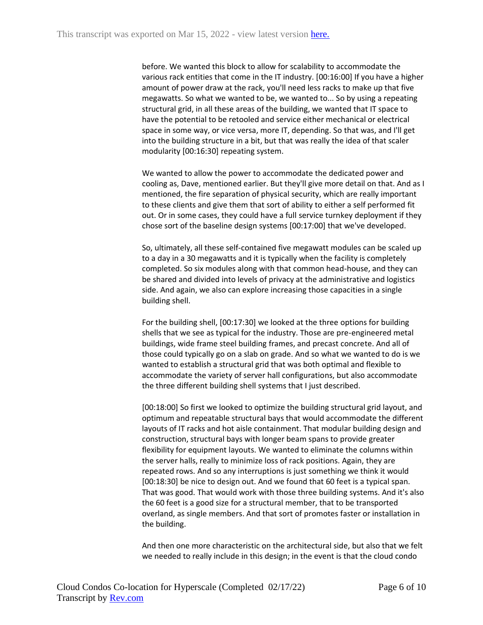before. We wanted this block to allow for scalability to accommodate the various rack entities that come in the IT industry. [00:16:00] If you have a higher amount of power draw at the rack, you'll need less racks to make up that five megawatts. So what we wanted to be, we wanted to... So by using a repeating structural grid, in all these areas of the building, we wanted that IT space to have the potential to be retooled and service either mechanical or electrical space in some way, or vice versa, more IT, depending. So that was, and I'll get into the building structure in a bit, but that was really the idea of that scaler modularity [00:16:30] repeating system.

We wanted to allow the power to accommodate the dedicated power and cooling as, Dave, mentioned earlier. But they'll give more detail on that. And as I mentioned, the fire separation of physical security, which are really important to these clients and give them that sort of ability to either a self performed fit out. Or in some cases, they could have a full service turnkey deployment if they chose sort of the baseline design systems [00:17:00] that we've developed.

So, ultimately, all these self-contained five megawatt modules can be scaled up to a day in a 30 megawatts and it is typically when the facility is completely completed. So six modules along with that common head-house, and they can be shared and divided into levels of privacy at the administrative and logistics side. And again, we also can explore increasing those capacities in a single building shell.

For the building shell, [00:17:30] we looked at the three options for building shells that we see as typical for the industry. Those are pre-engineered metal buildings, wide frame steel building frames, and precast concrete. And all of those could typically go on a slab on grade. And so what we wanted to do is we wanted to establish a structural grid that was both optimal and flexible to accommodate the variety of server hall configurations, but also accommodate the three different building shell systems that I just described.

[00:18:00] So first we looked to optimize the building structural grid layout, and optimum and repeatable structural bays that would accommodate the different layouts of IT racks and hot aisle containment. That modular building design and construction, structural bays with longer beam spans to provide greater flexibility for equipment layouts. We wanted to eliminate the columns within the server halls, really to minimize loss of rack positions. Again, they are repeated rows. And so any interruptions is just something we think it would [00:18:30] be nice to design out. And we found that 60 feet is a typical span. That was good. That would work with those three building systems. And it's also the 60 feet is a good size for a structural member, that to be transported overland, as single members. And that sort of promotes faster or installation in the building.

And then one more characteristic on the architectural side, but also that we felt we needed to really include in this design; in the event is that the cloud condo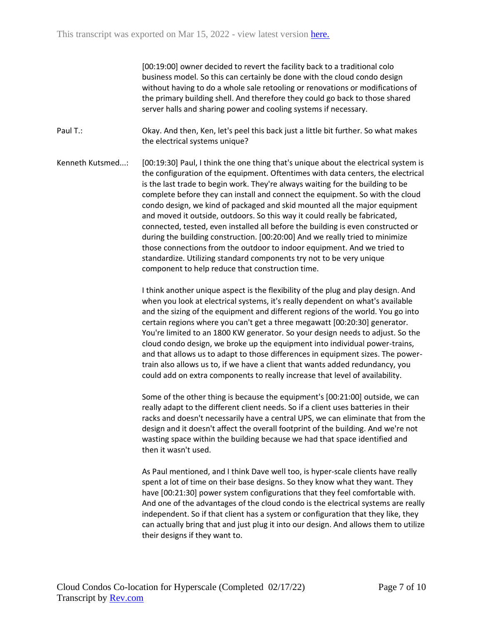[00:19:00] owner decided to revert the facility back to a traditional colo business model. So this can certainly be done with the cloud condo design without having to do a whole sale retooling or renovations or modifications of the primary building shell. And therefore they could go back to those shared server halls and sharing power and cooling systems if necessary.

Paul T.: Okay. And then, Ken, let's peel this back just a little bit further. So what makes the electrical systems unique?

Kenneth Kutsmed...: [00:19:30] Paul, I think the one thing that's unique about the electrical system is the configuration of the equipment. Oftentimes with data centers, the electrical is the last trade to begin work. They're always waiting for the building to be complete before they can install and connect the equipment. So with the cloud condo design, we kind of packaged and skid mounted all the major equipment and moved it outside, outdoors. So this way it could really be fabricated, connected, tested, even installed all before the building is even constructed or during the building construction. [00:20:00] And we really tried to minimize those connections from the outdoor to indoor equipment. And we tried to standardize. Utilizing standard components try not to be very unique component to help reduce that construction time.

> I think another unique aspect is the flexibility of the plug and play design. And when you look at electrical systems, it's really dependent on what's available and the sizing of the equipment and different regions of the world. You go into certain regions where you can't get a three megawatt [00:20:30] generator. You're limited to an 1800 KW generator. So your design needs to adjust. So the cloud condo design, we broke up the equipment into individual power-trains, and that allows us to adapt to those differences in equipment sizes. The powertrain also allows us to, if we have a client that wants added redundancy, you could add on extra components to really increase that level of availability.

Some of the other thing is because the equipment's [00:21:00] outside, we can really adapt to the different client needs. So if a client uses batteries in their racks and doesn't necessarily have a central UPS, we can eliminate that from the design and it doesn't affect the overall footprint of the building. And we're not wasting space within the building because we had that space identified and then it wasn't used.

As Paul mentioned, and I think Dave well too, is hyper-scale clients have really spent a lot of time on their base designs. So they know what they want. They have [00:21:30] power system configurations that they feel comfortable with. And one of the advantages of the cloud condo is the electrical systems are really independent. So if that client has a system or configuration that they like, they can actually bring that and just plug it into our design. And allows them to utilize their designs if they want to.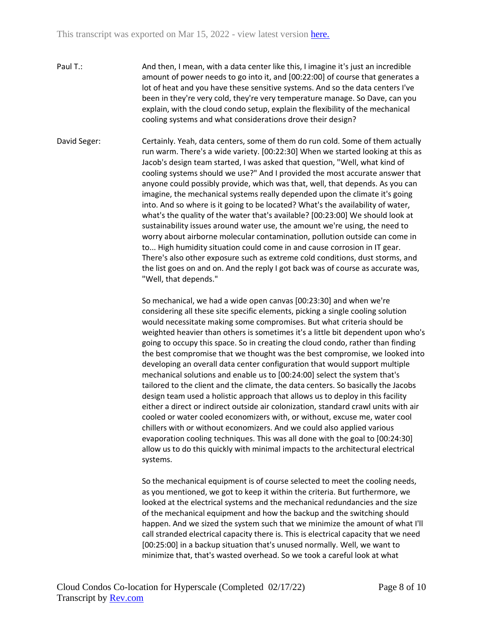- Paul T.: And then, I mean, with a data center like this, I imagine it's just an incredible amount of power needs to go into it, and [00:22:00] of course that generates a lot of heat and you have these sensitive systems. And so the data centers I've been in they're very cold, they're very temperature manage. So Dave, can you explain, with the cloud condo setup, explain the flexibility of the mechanical cooling systems and what considerations drove their design?
- David Seger: Certainly. Yeah, data centers, some of them do run cold. Some of them actually run warm. There's a wide variety. [00:22:30] When we started looking at this as Jacob's design team started, I was asked that question, "Well, what kind of cooling systems should we use?" And I provided the most accurate answer that anyone could possibly provide, which was that, well, that depends. As you can imagine, the mechanical systems really depended upon the climate it's going into. And so where is it going to be located? What's the availability of water, what's the quality of the water that's available? [00:23:00] We should look at sustainability issues around water use, the amount we're using, the need to worry about airborne molecular contamination, pollution outside can come in to... High humidity situation could come in and cause corrosion in IT gear. There's also other exposure such as extreme cold conditions, dust storms, and the list goes on and on. And the reply I got back was of course as accurate was, "Well, that depends."

So mechanical, we had a wide open canvas [00:23:30] and when we're considering all these site specific elements, picking a single cooling solution would necessitate making some compromises. But what criteria should be weighted heavier than others is sometimes it's a little bit dependent upon who's going to occupy this space. So in creating the cloud condo, rather than finding the best compromise that we thought was the best compromise, we looked into developing an overall data center configuration that would support multiple mechanical solutions and enable us to [00:24:00] select the system that's tailored to the client and the climate, the data centers. So basically the Jacobs design team used a holistic approach that allows us to deploy in this facility either a direct or indirect outside air colonization, standard crawl units with air cooled or water cooled economizers with, or without, excuse me, water cool chillers with or without economizers. And we could also applied various evaporation cooling techniques. This was all done with the goal to [00:24:30] allow us to do this quickly with minimal impacts to the architectural electrical systems.

So the mechanical equipment is of course selected to meet the cooling needs, as you mentioned, we got to keep it within the criteria. But furthermore, we looked at the electrical systems and the mechanical redundancies and the size of the mechanical equipment and how the backup and the switching should happen. And we sized the system such that we minimize the amount of what I'll call stranded electrical capacity there is. This is electrical capacity that we need [00:25:00] in a backup situation that's unused normally. Well, we want to minimize that, that's wasted overhead. So we took a careful look at what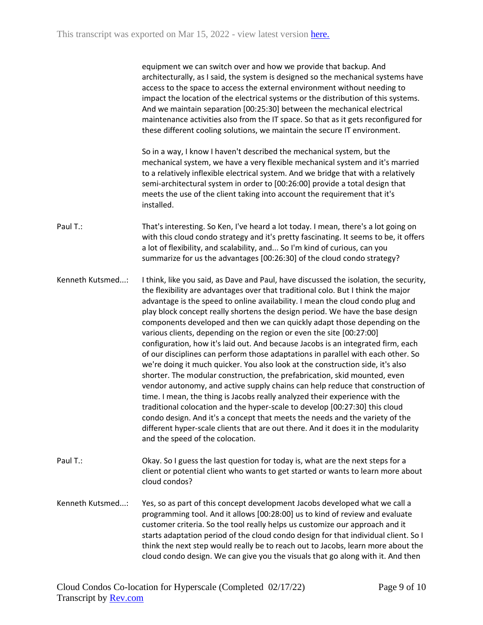equipment we can switch over and how we provide that backup. And architecturally, as I said, the system is designed so the mechanical systems have access to the space to access the external environment without needing to impact the location of the electrical systems or the distribution of this systems. And we maintain separation [00:25:30] between the mechanical electrical maintenance activities also from the IT space. So that as it gets reconfigured for these different cooling solutions, we maintain the secure IT environment.

So in a way, I know I haven't described the mechanical system, but the mechanical system, we have a very flexible mechanical system and it's married to a relatively inflexible electrical system. And we bridge that with a relatively semi-architectural system in order to [00:26:00] provide a total design that meets the use of the client taking into account the requirement that it's installed.

Paul T.: That's interesting. So Ken, I've heard a lot today. I mean, there's a lot going on with this cloud condo strategy and it's pretty fascinating. It seems to be, it offers a lot of flexibility, and scalability, and... So I'm kind of curious, can you summarize for us the advantages [00:26:30] of the cloud condo strategy?

Kenneth Kutsmed...: I think, like you said, as Dave and Paul, have discussed the isolation, the security, the flexibility are advantages over that traditional colo. But I think the major advantage is the speed to online availability. I mean the cloud condo plug and play block concept really shortens the design period. We have the base design components developed and then we can quickly adapt those depending on the various clients, depending on the region or even the site [00:27:00] configuration, how it's laid out. And because Jacobs is an integrated firm, each of our disciplines can perform those adaptations in parallel with each other. So we're doing it much quicker. You also look at the construction side, it's also shorter. The modular construction, the prefabrication, skid mounted, even vendor autonomy, and active supply chains can help reduce that construction of time. I mean, the thing is Jacobs really analyzed their experience with the traditional colocation and the hyper-scale to develop [00:27:30] this cloud condo design. And it's a concept that meets the needs and the variety of the different hyper-scale clients that are out there. And it does it in the modularity and the speed of the colocation.

- Paul T.: Okay. So I guess the last question for today is, what are the next steps for a client or potential client who wants to get started or wants to learn more about cloud condos?
- Kenneth Kutsmed...: Yes, so as part of this concept development Jacobs developed what we call a programming tool. And it allows [00:28:00] us to kind of review and evaluate customer criteria. So the tool really helps us customize our approach and it starts adaptation period of the cloud condo design for that individual client. So I think the next step would really be to reach out to Jacobs, learn more about the cloud condo design. We can give you the visuals that go along with it. And then